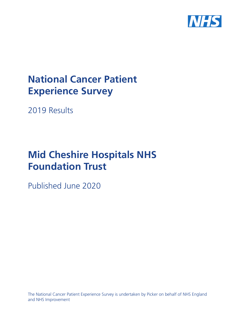

# **National Cancer Patient Experience Survey**

2019 Results

# **Mid Cheshire Hospitals NHS Foundation Trust**

Published June 2020

The National Cancer Patient Experience Survey is undertaken by Picker on behalf of NHS England and NHS Improvement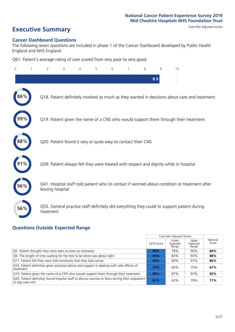# **Executive Summary** Case Mix Adjusted scores

#### **Cancer Dashboard Questions**

The following seven questions are included in phase 1 of the Cancer Dashboard developed by Public Health England and NHS England:

Q61. Patient's average rating of care scored from very poor to very good

| $\Omega$ | $\overline{2}$                                                | 3 | 5 | 6 | 7 | 8 | 9   | 10                                                                                            |  |
|----------|---------------------------------------------------------------|---|---|---|---|---|-----|-----------------------------------------------------------------------------------------------|--|
|          |                                                               |   |   |   |   |   | 8.9 |                                                                                               |  |
| 86%      |                                                               |   |   |   |   |   |     | Q18. Patient definitely involved as much as they wanted in decisions about care and treatment |  |
| 99%      |                                                               |   |   |   |   |   |     | Q19. Patient given the name of a CNS who would support them through their treatment           |  |
| 88%      | Q20. Patient found it very or quite easy to contact their CNS |   |   |   |   |   |     |                                                                                               |  |
|          |                                                               |   |   |   |   |   |     | Q39. Patient always felt they were treated with respect and dignity while in hospital         |  |
|          | leaving hospital                                              |   |   |   |   |   |     | Q41. Hospital staff told patient who to contact if worried about condition or treatment after |  |
| 56%      | treatment                                                     |   |   |   |   |   |     | Q55. General practice staff definitely did everything they could to support patient during    |  |

### **Questions Outside Expected Range**

|                                                                                                                       |            | Case Mix Adjusted Scores   |                            |                   |
|-----------------------------------------------------------------------------------------------------------------------|------------|----------------------------|----------------------------|-------------------|
|                                                                                                                       | 2019 Score | Lower<br>Expected<br>Range | Upper<br>Expected<br>Range | National<br>Score |
| Q2. Patient thought they were seen as soon as necessary                                                               | 90%        | 78%                        | 90%                        | 84%               |
| Q6. The length of time waiting for the test to be done was about right                                                | 94%        | 83%                        | 93%                        | 88%               |
| Q11. Patient felt they were told sensitively that they had cancer                                                     | 93%        | 80%                        | 91%                        | 86%               |
| Q16. Patient definitely given practical advice and support in dealing with side effects of<br>treatment               | 75%        | 60%                        | 75%                        | 67%               |
| Q19. Patient given the name of a CNS who would support them through their treatment                                   | 99%        | 87%                        | 97%                        | 92%               |
| Q43. Patient definitely found hospital staff to discuss worries or fears during their outpatient<br>or day case visit | 81%        | 62%                        | 79%                        | 71%               |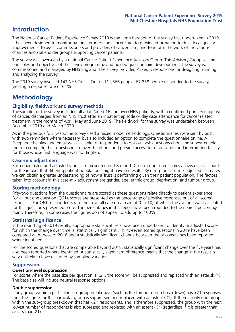# **Introduction**

The National Cancer Patient Experience Survey 2019 is the ninth iteration of the survey first undertaken in 2010. It has been designed to monitor national progress on cancer care; to provide information to drive local quality improvements; to assist commissioners and providers of cancer care; and to inform the work of the various charities and stakeholder groups supporting cancer patients.

The survey was overseen by a national Cancer Patient Experience Advisory Group. This Advisory Group set the principles and objectives of the survey programme and guided questionnaire development. The survey was commissioned and managed by NHS England. The survey provider, Picker, is responsible for designing, running and analysing the survey.

The 2019 survey involved 143 NHS Trusts. Out of 111,366 people, 67,858 people responded to the survey, yielding a response rate of 61%.

# **Methodology**

#### **Eligibility, eldwork and survey methods**

The sample for the survey included all adult (aged 16 and over) NHS patients, with a confirmed primary diagnosis of cancer, discharged from an NHS Trust after an inpatient episode or day case attendance for cancer related treatment in the months of April, May and June 2019. The fieldwork for the survey was undertaken between December 2019 and March 2020.

As in the previous four years, the survey used a mixed mode methodology. Questionnaires were sent by post, with two reminders where necessary, but also included an option to complete the questionnaire online. A Freephone helpline and email was available for respondents to opt out, ask questions about the survey, enable them to complete their questionnaire over the phone and provide access to a translation and interpreting facility for those whose first language was not English.

#### **Case-mix adjustment**

Both unadjusted and adjusted scores are presented in this report. Case-mix adjusted scores allows us to account for the impact that differing patient populations might have on results. By using the case-mix adjusted estimates we can obtain a greater understanding of how a Trust is performing given their patient population. The factors taken into account in this case-mix adjustment are gender, age, ethnic group, deprivation, and tumour group.

#### **Scoring methodology**

Fifty-two questions from the questionnaire are scored as these questions relate directly to patient experience. For all but one question (Q61), scores are presented as the percentage of positive responses out of all scored responses. For Q61, respondents rate their overall care on a scale of 0 to 10, of which the average was calculated for this question's presented score. The percentages in this report have been rounded to the nearest percentage point. Therefore, in some cases the figures do not appear to add up to 100%.

#### **Statistical significance**

In the reporting of 2019 results, appropriate statistical tests have been undertaken to identify unadjusted scores for which the change over time is 'statistically significant'. Thirty-seven scored questions in 2019 have been compared with those of 2018 and a statistically significant change between the two years has been reported where identified.

For the scored questions that are comparable beyond 2018, statistically significant change over the five years has also been reported where identified. A statistically significant difference means that the change in the result is very unlikely to have occurred by sampling variation.

#### **Suppression**

#### **Question-level suppression**

For scores where the base size per question is  $<$ 21, the score will be suppressed and replaced with an asterisk (\*). The base size will include neutral response options.

#### **Double suppression**

If any group within a particular sub-group breakdown (such as the tumour group breakdown) has <21 responses, then the figure for this particular group is suppressed and replaced with an asterisk (\*). If there is only one group within the sub-group breakdown that has <21 respondents, and is therefore suppressed, the group with the next lowest number of respondents is also supressed and replaced with an asterisk (\*) (regardless if it is greater than or less than 21).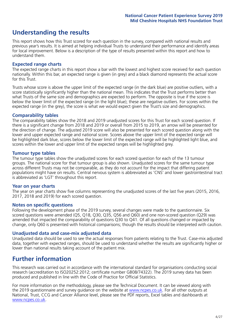# **Understanding the results**

This report shows how this Trust scored for each question in the survey, compared with national results and previous year's results. It is aimed at helping individual Trusts to understand their performance and identify areas for local improvement. Below is a description of the type of results presented within this report and how to understand them.

#### **Expected range charts**

The expected range charts in this report show a bar with the lowest and highest score received for each question nationally. Within this bar, an expected range is given (in grey) and a black diamond represents the actual score for this Trust.

Trusts whose score is above the upper limit of the expected range (in the dark blue) are positive outliers, with a score statistically significantly higher than the national mean. This indicates that the Trust performs better than what Trusts of the same size and demographics are expected to perform. The opposite is true if the score is below the lower limit of the expected range (in the light blue); these are negative outliers. For scores within the expected range (in the grey), the score is what we would expect given the Trust's size and demographics.

#### **Comparability tables**

The comparability tables show the 2018 and 2019 unadjusted scores for this Trust for each scored question. If there is a significant change from 2018 and 2019 or overall from 2015 to 2019, an arrow will be presented for the direction of change. The adjusted 2019 score will also be presented for each scored question along with the lower and upper expected range and national score. Scores above the upper limit of the expected range will be highlighted dark blue, scores below the lower limit of the expected range will be highlighted light blue, and scores within the lower and upper limit of the expected ranges will be highlighted grey.

#### **Tumour type tables**

The tumour type tables show the unadjusted scores for each scored question for each of the 13 tumour groups. The national score for that tumour group is also shown. Unadjusted scores for the same tumour type across different Trusts may not be comparable, as they do not account for the impact that differing patient populations might have on results. Central nervous system is abbreviated as 'CNS' and lower gastrointestinal tract is abbreviated as 'LGT' throughout this report.

#### **Year on year charts**

The year on year charts show five columns representing the unadjusted scores of the last five years (2015, 2016, 2017, 2018 and 2019) for each scored question.

#### **Notes on specific questions**

Following the development phase of the 2019 survey, several changes were made to the questionnaire. Six scored questions were amended (Q5, Q18, Q30, Q35, Q56 and Q60) and one non-scored question (Q29) was amended that impacted the comparability of questions Q30 to Q41. Of all questions changed or impacted by change, only Q60 is presented with historical comparisons; though the results should be interpreted with caution.

#### **Unadjusted data and case-mix adjusted data**

Unadjusted data should be used to see the actual responses from patients relating to the Trust. Case-mix adjusted data, together with expected ranges, should be used to understand whether the results are significantly higher or lower than national results taking account of the patient mix.

# **Further information**

This research was carried out in accordance with the international standard for organisations conducting social research (accreditation to ISO20252:2012; certificate number GB08/74322). The 2019 survey data has been produced and published in line with the Code of Practice for Official Statistics.

For more information on the methodology, please see the Technical Document. It can be viewed along with the 2019 questionnaire and survey quidance on the website at [www.ncpes.co.uk](https://www.ncpes.co.uk/supporting-documents). For all other outputs at National, Trust, CCG and Cancer Alliance level, please see the PDF reports, Excel tables and dashboards at [www.ncpes.co.uk.](https://www.ncpes.co.uk/current-results)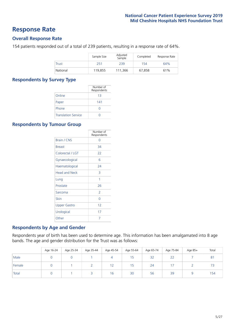### **Response Rate**

#### **Overall Response Rate**

154 patients responded out of a total of 239 patients, resulting in a response rate of 64%.

|          | Sample Size | Adjusted<br>Sample | Completed | Response Rate |
|----------|-------------|--------------------|-----------|---------------|
| Trust    | 251         | 239                | 154       | 64%           |
| National | 119,855     | 111.366            | 67,858    | 61%           |

#### **Respondents by Survey Type**

|                            | Number of<br>Respondents |
|----------------------------|--------------------------|
| Online                     | 13                       |
| Paper                      | 141                      |
| Phone                      | O                        |
| <b>Translation Service</b> |                          |

#### **Respondents by Tumour Group**

|                      | Number of<br>Respondents |
|----------------------|--------------------------|
| <b>Brain / CNS</b>   | ∩                        |
| <b>Breast</b>        | 34                       |
| Colorectal / LGT     | 22                       |
| Gynaecological       | 6                        |
| Haematological       | 24                       |
| <b>Head and Neck</b> | 3                        |
| Lung                 | 1                        |
| Prostate             | 26                       |
| Sarcoma              | $\mathcal{P}$            |
| Skin                 | U                        |
| <b>Upper Gastro</b>  | 12                       |
| Urological           | 17                       |
| Other                | 7                        |

#### **Respondents by Age and Gender**

Respondents year of birth has been used to determine age. This information has been amalgamated into 8 age bands. The age and gender distribution for the Trust was as follows:

|        | Age 16-24 | Age 25-34 | Age 35-44 | Age 45-54 | Age 55-64 | Age 65-74 | Age 75-84 | Age 85+ | Total          |
|--------|-----------|-----------|-----------|-----------|-----------|-----------|-----------|---------|----------------|
| Male   |           |           |           | 4         | 15        | 32        | 22        |         | 8 <sup>1</sup> |
| Female |           |           |           | 12        | 15        | 24        |           |         | --             |
| Total  |           |           |           | 16        | 30        | 56        | 39        |         | 154            |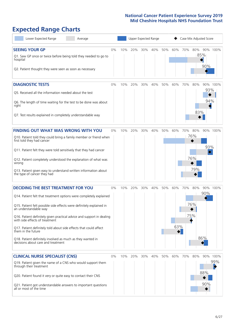# **Expected Range Charts**

| Lower Expected Range<br>Average                                                                                                                                                                                                                                                                                                                                                                                                                                                                                             |    |     |     |     | <b>Upper Expected Range</b> |     |                                                  |     |                          | Case Mix Adjusted Score |                 |
|-----------------------------------------------------------------------------------------------------------------------------------------------------------------------------------------------------------------------------------------------------------------------------------------------------------------------------------------------------------------------------------------------------------------------------------------------------------------------------------------------------------------------------|----|-----|-----|-----|-----------------------------|-----|--------------------------------------------------|-----|--------------------------|-------------------------|-----------------|
| <b>SEEING YOUR GP</b><br>Q1. Saw GP once or twice before being told they needed to go to<br>hospital<br>Q2. Patient thought they were seen as soon as necessary                                                                                                                                                                                                                                                                                                                                                             | 0% | 10% | 20% | 30% | 40%                         | 50% | 60%                                              | 70% | 80%                      | 85%<br>90%              | 90% 100%        |
| <b>DIAGNOSTIC TESTS</b><br>Q5. Received all the information needed about the test<br>Q6. The length of time waiting for the test to be done was about<br>right<br>Q7. Test results explained in completely understandable way                                                                                                                                                                                                                                                                                               | 0% | 10% | 20% | 30% | 40%                         | 50% | 60%                                              | 70% | 80%<br>83%               | 93%<br>94%              | 90% 100%        |
| <b>FINDING OUT WHAT WAS WRONG WITH YOU</b><br>Q10. Patient told they could bring a family member or friend when<br>first told they had cancer<br>Q11. Patient felt they were told sensitively that they had cancer<br>Q12. Patient completely understood the explanation of what was<br>wrong<br>Q13. Patient given easy to understand written information about<br>the type of cancer they had                                                                                                                             | 0% | 10% | 20% | 30% | 40%                         | 50% | 60%                                              | 70% | 80%<br>76%<br>76%<br>79% | 93%<br>$\hat{\diamond}$ | 90% 100%        |
| <b>DECIDING THE BEST TREATMENT FOR YOU</b><br>Q14. Patient felt that treatment options were completely explained<br>Q15. Patient felt possible side effects were definitely explained in<br>an understandable way<br>Q16. Patient definitely given practical advice and support in dealing<br>with side effects of treatment<br>Q17. Patient definitely told about side effects that could affect<br>them in the future<br>Q18. Patient definitely involved as much as they wanted in<br>decisions about care and treatment | 0% | 10% | 20% | 30% | 40%                         | 50% | 60%<br>63%<br>$\bullet$ $\overline{\phantom{a}}$ | 70% | 80%<br>76%<br>75%        | 90%<br>86%              | 90% 100%        |
| <b>CLINICAL NURSE SPECIALIST (CNS)</b><br>Q19. Patient given the name of a CNS who would support them<br>through their treatment<br>Q20. Patient found it very or quite easy to contact their CNS<br>Q21. Patient got understandable answers to important questions<br>all or most of the time                                                                                                                                                                                                                              | 0% | 10% | 20% | 30% | 40%                         | 50% | 60%                                              | 70% | 80%                      | 88%<br>90%              | 90% 100%<br>99% |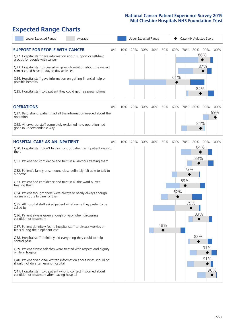# **Expected Range Charts**

| Lower Expected Range<br>Average                                                                                                                                                                                                                                                                                                                                                                                               |    |     | Upper Expected Range |     |     |     |            |     | Case Mix Adjusted Score  |          |
|-------------------------------------------------------------------------------------------------------------------------------------------------------------------------------------------------------------------------------------------------------------------------------------------------------------------------------------------------------------------------------------------------------------------------------|----|-----|----------------------|-----|-----|-----|------------|-----|--------------------------|----------|
| <b>SUPPORT FOR PEOPLE WITH CANCER</b><br>Q22. Hospital staff gave information about support or self-help<br>groups for people with cancer<br>Q23. Hospital staff discussed or gave information about the impact<br>cancer could have on day to day activities<br>Q24. Hospital staff gave information on getting financial help or<br>possible benefits<br>Q25. Hospital staff told patient they could get free prescriptions | 0% | 10% | 20%                  | 30% | 40% | 50% | 60%<br>61% | 70% | 80%<br>86%<br>87%<br>84% | 90% 100% |
| <b>OPERATIONS</b>                                                                                                                                                                                                                                                                                                                                                                                                             | 0% | 10% | 20%                  | 30% | 40% | 50% | 60%        | 70% | 80%                      | 90% 100% |
| Q27. Beforehand, patient had all the information needed about the<br>operation                                                                                                                                                                                                                                                                                                                                                |    |     |                      |     |     |     |            |     |                          | 99%      |
| Q28. Afterwards, staff completely explained how operation had<br>gone in understandable way                                                                                                                                                                                                                                                                                                                                   |    |     |                      |     |     |     |            |     | 84%                      |          |
| <b>HOSPITAL CARE AS AN INPATIENT</b>                                                                                                                                                                                                                                                                                                                                                                                          | 0% | 10% | 20%                  | 30% | 40% | 50% | 60%        | 70% | 80%                      | 90% 100% |
| Q30. Hospital staff didn't talk in front of patient as if patient wasn't<br>there                                                                                                                                                                                                                                                                                                                                             |    |     |                      |     |     |     |            |     | 84%<br>83%               |          |
| Q31. Patient had confidence and trust in all doctors treating them                                                                                                                                                                                                                                                                                                                                                            |    |     |                      |     |     |     |            |     |                          |          |
| Q32. Patient's family or someone close definitely felt able to talk to<br>a doctor                                                                                                                                                                                                                                                                                                                                            |    |     |                      |     |     |     |            | 73% |                          |          |
| Q33. Patient had confidence and trust in all the ward nurses<br>treating them                                                                                                                                                                                                                                                                                                                                                 |    |     |                      |     |     |     |            | 69% |                          |          |
| Q34. Patient thought there were always or nearly always enough<br>nurses on duty to care for them                                                                                                                                                                                                                                                                                                                             |    |     |                      |     |     |     | 62%        |     |                          |          |
| Q35. All hospital staff asked patient what name they prefer to be<br>called by                                                                                                                                                                                                                                                                                                                                                |    |     |                      |     |     |     |            |     | 75%                      |          |
| Q36. Patient always given enough privacy when discussing<br>condition or treatment                                                                                                                                                                                                                                                                                                                                            |    |     |                      |     |     |     |            |     | 83%                      |          |
| Q37. Patient definitely found hospital staff to discuss worries or<br>fears during their inpatient visit                                                                                                                                                                                                                                                                                                                      |    |     |                      |     |     | 48% |            |     |                          |          |
| Q38. Hospital staff definitely did everything they could to help<br>control pain                                                                                                                                                                                                                                                                                                                                              |    |     |                      |     |     |     |            |     | 82%                      |          |
| Q39. Patient always felt they were treated with respect and dignity<br>while in hospital                                                                                                                                                                                                                                                                                                                                      |    |     |                      |     |     |     |            |     | 91%                      |          |
| Q40. Patient given clear written information about what should or<br>should not do after leaving hospital                                                                                                                                                                                                                                                                                                                     |    |     |                      |     |     |     |            |     | 91%                      |          |
| Q41. Hospital staff told patient who to contact if worried about<br>condition or treatment after leaving hospital                                                                                                                                                                                                                                                                                                             |    |     |                      |     |     |     |            |     |                          | 96%      |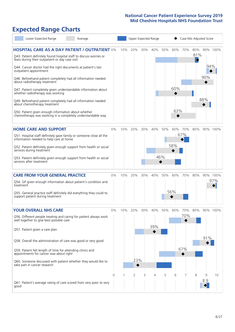# **Expected Range Charts**

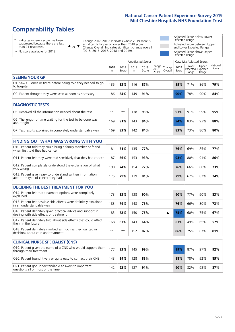# **Comparability Tables**

\* Indicates where a score has been suppressed because there are less than 21 responses.

\*\* No score available for 2018.

 $\triangle$  or  $\nabla$ 

Change 2018-2019: Indicates where 2019 score is significantly higher or lower than 2018 score Change Overall: Indicates significant change overall (2015, 2016, 2017, 2018 and 2019).

Adjusted Score below Lower Expected Range Adjusted Score between Upper and Lower Expected Ranges Adjusted Score above Upper Expected Range

|                                                                             | Case Mix Adjusted Scores<br>Unadjusted Scores |                         |            |               |                                             |         |               |                                     |                |                   |
|-----------------------------------------------------------------------------|-----------------------------------------------|-------------------------|------------|---------------|---------------------------------------------|---------|---------------|-------------------------------------|----------------|-------------------|
|                                                                             | 2018<br>n                                     | 2018<br>Score           | 2019<br>n. | 2019<br>Score | $\sim$   Change   Change  <br>2018-<br>2019 | Overall | 2019<br>Score | Lower<br>Expected Expected<br>Range | Upper<br>Range | National<br>Score |
| <b>SEEING YOUR GP</b>                                                       |                                               |                         |            |               |                                             |         |               |                                     |                |                   |
| Q1. Saw GP once or twice before being told they needed to go<br>to hospital | 135                                           | 83%                     | 116        | 87%           |                                             |         | 85%           | 71%                                 | 86%            | 79%               |
| Q2. Patient thought they were seen as soon as necessary                     | 186                                           | 91%<br>84%<br>49<br>90% |            |               |                                             |         |               | 78%                                 | 90%            | 84%               |

| <b>DIAGNOSTIC TESTS</b>                                                   |      |     |     |     |  |     |     |     |     |
|---------------------------------------------------------------------------|------|-----|-----|-----|--|-----|-----|-----|-----|
| O5. Received all the information needed about the test                    | $**$ | **  | 38  | 93% |  | 93% | 91% | 99% | 95% |
| Q6. The length of time waiting for the test to be done was<br>about right | 169  | 91% | 143 | 94% |  | 94% | 83% | 93% | 88% |
| Q7. Test results explained in completely understandable way               | 169  | 83% | 142 | 84% |  | 83% | 73% | 86% | 80% |

| <b>FINDING OUT WHAT WAS WRONG WITH YOU</b>                                                      |     |     |     |     |     |     |     |     |
|-------------------------------------------------------------------------------------------------|-----|-----|-----|-----|-----|-----|-----|-----|
| Q10. Patient told they could bring a family member or friend<br>when first told they had cancer | 181 | 71% | 135 | 77% | 76% | 69% | 85% | 77% |
| Q11. Patient felt they were told sensitively that they had cancer                               | 187 | 86% | 153 | 93% | 93% | 80% | 91% | 86% |
| Q12. Patient completely understood the explanation of what<br>was wrong                         | 190 | 74% | 154 | 77% | 76% | 66% | 80% | 73% |
| Q13. Patient given easy to understand written information<br>about the type of cancer they had  | 175 | 79% | 139 | 81% | 79% | 67% | 82% | 74% |

| <b>DECIDING THE BEST TREATMENT FOR YOU</b>                                                              |      |     |     |     |  |     |                 |     |     |
|---------------------------------------------------------------------------------------------------------|------|-----|-----|-----|--|-----|-----------------|-----|-----|
| Q14. Patient felt that treatment options were completely<br>explained                                   | 173  | 83% | 38  | 90% |  | 90% | 77 <sub>%</sub> | 90% | 83% |
| Q15. Patient felt possible side effects were definitely explained<br>in an understandable way           | 183  | 79% | 148 | 76% |  | 76% | 66%             | 80% | 73% |
| Q16. Patient definitely given practical advice and support in<br>dealing with side effects of treatment | 183  | 72% | 150 | 75% |  | 75% | 60%             | 75% | 67% |
| Q17. Patient definitely told about side effects that could affect<br>them in the future                 | 168  | 63% | 43  | 64% |  | 63% | 49%             | 65% | 57% |
| Q18. Patient definitely involved as much as they wanted in<br>decisions about care and treatment        | $**$ | **  | 52  | 87% |  | 86% | 75%             | 87% | 81% |

| <b>CLINICAL NURSE SPECIALIST (CNS)</b>                                                    |     |     |     |     |  |     |     |     |     |
|-------------------------------------------------------------------------------------------|-----|-----|-----|-----|--|-----|-----|-----|-----|
| Q19. Patient given the name of a CNS who would support them<br>through their treatment    | 177 | 93% | 145 | 99% |  | 99% | 87% | 97% | 92% |
| Q20. Patient found it very or quite easy to contact their CNS                             | 143 | 89% | 128 | 88% |  | 88% | 78% | 92% | 85% |
| Q21. Patient got understandable answers to important<br>questions all or most of the time | 142 | 92% | 127 | 91% |  | 90% | 82% | 93% | 87% |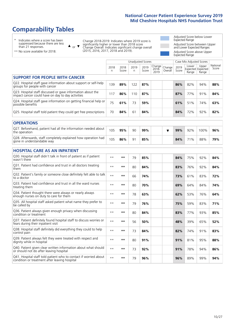# **Comparability Tables**

\* Indicates where a score has been suppressed because there are less than 21 responses.

\*\* No score available for 2018.

 $\triangle$  or  $\nabla$ 

Change 2018-2019: Indicates where 2019 score is significantly higher or lower than 2018 score Change Overall: Indicates significant change overall (2015, 2016, 2017, 2018 and 2019).

Adjusted Score below Lower Expected Range Adjusted Score between Upper and Lower Expected Ranges Adjusted Score above Upper Expected Range

|                                                                                                                   |              |               | <b>Unadjusted Scores</b> |               |                         |                   |               | Case Mix Adjusted Scores |                                     |                   |
|-------------------------------------------------------------------------------------------------------------------|--------------|---------------|--------------------------|---------------|-------------------------|-------------------|---------------|--------------------------|-------------------------------------|-------------------|
|                                                                                                                   | 2018<br>n.   | 2018<br>Score | 2019<br>n                | 2019<br>Score | Change<br>2018-<br>2019 | Change<br>Overall | 2019<br>Score | Lower<br>Range           | Upper<br>Expected Expected<br>Range | National<br>Score |
| <b>SUPPORT FOR PEOPLE WITH CANCER</b>                                                                             |              |               |                          |               |                         |                   |               |                          |                                     |                   |
| Q22. Hospital staff gave information about support or self-help<br>groups for people with cancer                  | 139          | 89%           | 122                      | 87%           |                         |                   | 86%           | 82%                      | 94%                                 | 88%               |
| Q23. Hospital staff discussed or gave information about the<br>impact cancer could have on day to day activities  | 117          | 86%           | 110                      | 87%           |                         |                   | 87%           | 77%                      | 91%                                 | 84%               |
| Q24. Hospital staff gave information on getting financial help or<br>possible benefits                            | 75           | 61%           | 73                       | 59%           |                         |                   | 61%           | 51%                      | 74%                                 | 63%               |
| Q25. Hospital staff told patient they could get free prescriptions                                                | 70           | 84%           | 61                       | 84%           |                         |                   | 84%           | 72%                      | 92%                                 | 82%               |
| <b>OPERATIONS</b>                                                                                                 |              |               |                          |               |                         |                   |               |                          |                                     |                   |
| Q27. Beforehand, patient had all the information needed about<br>the operation                                    | 105          | 95%           | 90                       | 99%           |                         | ▼                 | 99%           | 92%                      | 100%                                | 96%               |
| Q28. Afterwards, staff completely explained how operation had<br>gone in understandable way                       | 105          | 86%           | 91                       | 85%           |                         |                   | 84%           | 71%                      | 88%                                 | 79%               |
| <b>HOSPITAL CARE AS AN INPATIENT</b>                                                                              |              |               |                          |               |                         |                   |               |                          |                                     |                   |
| Q30. Hospital staff didn't talk in front of patient as if patient<br>wasn't there                                 | $**$         | $***$         | 79                       | 85%           |                         |                   | 84%           | 75%                      | 92%                                 | 84%               |
| Q31. Patient had confidence and trust in all doctors treating<br>them                                             | $* *$        | $***$         | 80                       | 84%           |                         |                   | 83%           | 76%                      | 92%                                 | 84%               |
| Q32. Patient's family or someone close definitely felt able to talk<br>to a doctor                                | $* *$        | $***$         | 66                       | 74%           |                         |                   | 73%           | 61%                      | 83%                                 | 72%               |
| O33. Patient had confidence and trust in all the ward nurses<br>treating them                                     | $\star\star$ | **            | 80                       | 70%           |                         |                   | 69%           | 64%                      | 84%                                 | 74%               |
| Q34. Patient thought there were always or nearly always<br>enough nurses on duty to care for them                 | $* *$        | $***$         | 78                       | 63%           |                         |                   | 62%           | 53%                      | 76%                                 | 64%               |
| Q35. All hospital staff asked patient what name they prefer to<br>be called by                                    | $**$         | $***$         | 79                       | 76%           |                         |                   | 75%           | 59%                      | 83%                                 | 71%               |
| Q36. Patient always given enough privacy when discussing<br>condition or treatment                                | $* *$        | $**$          | 80                       | 84%           |                         |                   | 83%           | 77%                      | 93%                                 | 85%               |
| Q37. Patient definitely found hospital staff to discuss worries or<br>fears during their inpatient visit          | $* *$        | **            | 56                       | 50%           |                         |                   | 48%           | 39%                      | 65%                                 | 52%               |
| Q38. Hospital staff definitely did everything they could to help<br>control pain                                  | $* *$        | $***$         | 73                       | 84%           |                         |                   | 82%           | 74%                      | 91%                                 | 83%               |
| Q39. Patient always felt they were treated with respect and<br>dignity while in hospital                          | $\star\star$ | $***$         | 80                       | 91%           |                         |                   | 91%           | 81%                      | 95%                                 | 88%               |
| Q40. Patient given clear written information about what should<br>or should not do after leaving hospital         | $**$         | $***$         | 73                       | 92%           |                         |                   | 91%           | 78%                      | 94%                                 | 86%               |
| Q41. Hospital staff told patient who to contact if worried about<br>condition or treatment after leaving hospital | $\star\star$ | $***$         | 79                       | 96%           |                         |                   | 96%           | 89%                      | 99%                                 | 94%               |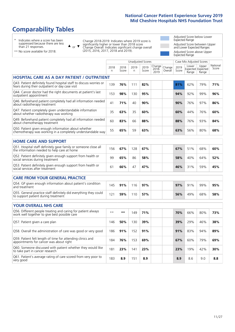# **Comparability Tables**

\* Indicates where a score has been suppressed because there are less than 21 responses.

\*\* No score available for 2018.

 $\triangle$  or  $\nabla$ 

Change 2018-2019: Indicates where 2019 score is significantly higher or lower than 2018 score Change Overall: Indicates significant change overall (2015, 2016, 2017, 2018 and 2019).

Adjusted Score below Lower Expected Range Adjusted Score between Upper and Lower Expected Ranges Adjusted Score above Upper Expected Range

|                                                                                                                       |              |               | <b>Unadjusted Scores</b> |               |                         |                   |               | Case Mix Adjusted Scores |                                     |                   |
|-----------------------------------------------------------------------------------------------------------------------|--------------|---------------|--------------------------|---------------|-------------------------|-------------------|---------------|--------------------------|-------------------------------------|-------------------|
|                                                                                                                       | 2018<br>n.   | 2018<br>Score | 2019<br>n.               | 2019<br>Score | Change<br>2018-<br>2019 | Change<br>Overall | 2019<br>Score | Lower<br>Range           | Upper<br>Expected Expected<br>Range | National<br>Score |
| <b>HOSPITAL CARE AS A DAY PATIENT / OUTPATIENT</b>                                                                    |              |               |                          |               |                         |                   |               |                          |                                     |                   |
| Q43. Patient definitely found hospital staff to discuss worries or<br>fears during their outpatient or day case visit | 139          | 76%           | 111                      | 82%           |                         |                   | 81%           | 62%                      | 79%                                 | 71%               |
| Q44. Cancer doctor had the right documents at patient's last<br>outpatient appointment                                | 153          | 98%           | 130                      | 95%           |                         |                   | 94%           | 92%                      | 99%                                 | 96%               |
| Q46. Beforehand patient completely had all information needed<br>about radiotherapy treatment                         | 41           | 71%           | 40                       | 90%           |                         |                   | 90%           | 76%                      | 97%                                 | 86%               |
| Q47. Patient completely given understandable information<br>about whether radiotherapy was working                    | 35           | 63%           | 35                       | 60%           |                         |                   | 60%           | 44%                      | 76%                                 | 60%               |
| Q49. Beforehand patient completely had all information needed<br>about chemotherapy treatment                         | 60           | 83%           | 66                       | 88%           |                         |                   | 88%           | 76%                      | 93%                                 | 84%               |
| Q50. Patient given enough information about whether<br>chemotherapy was working in a completely understandable way    | 55           | 65%           | 59                       | 63%           |                         |                   | 63%           | 56%                      | 80%                                 | 68%               |
| <b>HOME CARE AND SUPPORT</b>                                                                                          |              |               |                          |               |                         |                   |               |                          |                                     |                   |
| Q51. Hospital staff definitely gave family or someone close all<br>the information needed to help care at home        | 156          | 67%           | 128                      | 67%           |                         |                   | 67%           | 51%                      | 68%                                 | 60%               |
| Q52. Patient definitely given enough support from health or<br>social services during treatment                       | 99           | 65%           | 86                       | 58%           |                         |                   | 58%           | 40%                      | 64%                                 | 52%               |
| Q53. Patient definitely given enough support from health or<br>social services after treatment                        | 61           | 66%           | 47                       | 47%           |                         |                   | 46%           | 31%                      | 59%                                 | 45%               |
| <b>CARE FROM YOUR GENERAL PRACTICE</b>                                                                                |              |               |                          |               |                         |                   |               |                          |                                     |                   |
| Q54. GP given enough information about patient's condition<br>and treatment                                           | 145          | 91%           | 116                      | 97%           |                         |                   | 97%           | 91%                      | 99%                                 | 95%               |
| Q55. General practice staff definitely did everything they could<br>to support patient during treatment               | 121          | 59%           | 110                      | 57%           |                         |                   | 56%           | 49%                      | 68%                                 | 58%               |
| <b>YOUR OVERALL NHS CARE</b>                                                                                          |              |               |                          |               |                         |                   |               |                          |                                     |                   |
| Q56. Different people treating and caring for patient always<br>work well together to give best possible care         | $\star\star$ | $***$         | 149                      | 71%           |                         |                   | 70%           | 66%                      | 80%                                 | 73%               |
| Q57. Patient given a care plan                                                                                        | 146          | 50%           | 130                      | 39%           |                         |                   | 39%           | 29%                      | 46%                                 | 38%               |
| Q58. Overall the administration of care was good or very good                                                         | 186          | 91%           | 152                      | 91%           |                         |                   | 91%           | 83%                      | 94%                                 | 89%               |
| Q59. Patient felt length of time for attending clinics and<br>appointments for cancer was about right                 | 184          | 76%           | 153                      | 69%           |                         |                   | 67%           | 60%                      | 79%                                 | 69%               |
| Q60. Someone discussed with patient whether they would like<br>to take part in cancer research                        | 181          | 23%           | 141                      | 23%           |                         |                   | 23%           | 19%                      | 42%                                 | 30%               |
| Q61. Patient's average rating of care scored from very poor to<br>very good                                           | 183          | 8.9           | 151                      | 8.9           |                         |                   | 8.9           | 8.6                      | 9.0                                 | 8.8               |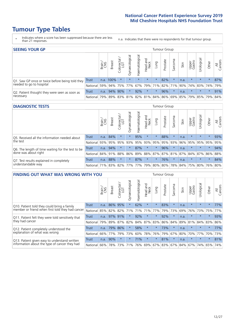# **Tumour Type Tables**

- \* Indicates where a score has been suppressed because there are less than 21 responses.
- n.a. Indicates that there were no respondents for that tumour group.

| <b>SEEING YOUR GP</b>                           |              |       |               |                   |                    |                |                  |                 | Tumour Group |         |      |                 |                                                 |         |                |
|-------------------------------------------------|--------------|-------|---------------|-------------------|--------------------|----------------|------------------|-----------------|--------------|---------|------|-----------------|-------------------------------------------------|---------|----------------|
|                                                 |              | Brain | <b>Breast</b> | Colorectal<br>LGT | ᠊ᢛ<br>Gynaecologic | Haematological | Head and<br>Neck | Lung            | Prostate     | Sarcoma | Skin | Upper<br>Gastro | –<br>Irologica                                  | Other   | All<br>Cancers |
| Q1. Saw GP once or twice before being told they | <b>Trust</b> |       | n.a. 100%     |                   | $\star$            | $\star$        | $\star$          | $\star$         | 82%          |         | n.a. | $\star$         | $\star$                                         | $\star$ | 87%            |
| needed to go to hospital                        | National     | 59%   |               |                   | 94% 75% 77%        |                |                  | 67% 79% 71% 82% |              | 71%     |      |                 | 90% 74% 83% 74%                                 |         | 79%            |
| Q2. Patient thought they were seen as soon as   | Trust        | n.a.  | 94% 90%       |                   | $\star$            | 92%            | $\star$          | $\star$         | 96%          | $\star$ | n.a. | $\star$         | $\star$                                         | $\star$ | 91%            |
| necessary                                       | National     | 79%   |               |                   |                    |                |                  |                 |              |         |      |                 | 89% 83% 81% 82% 81% 84% 86% 69% 85% 79% 85% 79% |         | 84%            |

#### **DIAGNOSTIC TESTS** Tumour Group

|                                                   |              | Brain | <b>Breast</b> | Colorectal<br>LGT           | ᠊ᢛ<br>Gynaecologic | Haematological | Head and<br>Neck | Lung    | Prostate | Sarcoma | Skin | Upper<br>Gastro | rological                                   | Other   | All<br>Cancers |
|---------------------------------------------------|--------------|-------|---------------|-----------------------------|--------------------|----------------|------------------|---------|----------|---------|------|-----------------|---------------------------------------------|---------|----------------|
| Q5. Received all the information needed about     | <b>Trust</b> | n.a.  | 84%           |                             | $\star$            | 95%            | $\star$          | $\star$ | 88%      |         | n.a. | $\star$         | $\star$                                     | $\star$ | 93%            |
| $\vert$ the test                                  | National     | 93%   | 95%           | 95%                         | 93%                | 95%            |                  | 93% 95% | 95%      | 93%     | 96%  | 95%             | 95%                                         | 95%     | 95%            |
| Q6. The length of time waiting for the test to be | Trust        | n.a.  | 94%           |                             | $\star$            | 87%            | $\star$          | $\star$ | 96%      | $\star$ | n.a. | $\star$         | $\star$                                     | $\star$ | 94%            |
| done was about right                              | National     |       | 84% 91%       | 88%                         |                    |                |                  |         |          |         |      |                 | 86% 89% 88% 87% 87% 81% 87% 84% 87% 86% 88% |         |                |
| Q7. Test results explained in completely          | Trust        | n.a.  | 88%           |                             | $\star$            | 87%            | $\star$          | $\star$ | 76%      | $\star$ | n.a. | $\star$         | $\star$                                     | $\star$ | 84%            |
| understandable way                                | National 71% |       |               | 83% 82% 77% 77% 79% 80% 80% |                    |                |                  |         |          |         |      |                 | 78% 84% 75% 80% 76% 80%                     |         |                |

| <b>FINDING OUT WHAT WAS WRONG WITH YOU</b>        |              |       |               |                                  |                |                |                        |             | Tumour Group |         |      |                 |            |         |                |
|---------------------------------------------------|--------------|-------|---------------|----------------------------------|----------------|----------------|------------------------|-------------|--------------|---------|------|-----------------|------------|---------|----------------|
|                                                   |              | Brain | <b>Breast</b> | ╮<br>olorectal.<br>LGT<br>$\cup$ | Gynaecological | Haematological | ad and<br>Neck<br>Head | Lung        | Prostate     | Sarcoma | Skin | Upper<br>Gastro | Jrological | Other   | All<br>Cancers |
| Q10. Patient told they could bring a family       | <b>Trust</b> | n.a.  | 86%           | 95%                              | $\star$        | 62%            | $\ast$                 | $^\star$    | 83%          | $\star$ | n.a. | $\star$         | $\star$    | $\star$ | 77%            |
| member or friend when first told they had cancer  | National     | 85%   | 82%           | 82%                              | 71%            | 71%            | 71%                    | 77%         | 79%          | 73%     | 69%  | 76%             | 73%        | 75%     | 77%            |
| Q11. Patient felt they were told sensitively that | Trust        | n.a.  | 97%           | 91%                              | $\star$        | 92%            | $\star$                | $\star$     | 92%          | $\star$ | n.a. | $\star$         | $\star$    | $\star$ | 93%            |
| they had cancer                                   | National     | 79%   |               | 89% 87%                          | 82%            |                | 84% 87%                | 83%         | 86%          | 84%     | 89%  | 81%             | 84% 83%    |         | 86%            |
| Q12. Patient completely understood the            | Trust        | n.a.  | 79%           | 86%                              | $\star$        | 58%            | $\star$                | $\star$     | 73%          | $\star$ | n.a. | $\star$         | $\star$    | $\star$ | 77%            |
| explanation of what was wrong                     | National     | 66%   | 77%           | 79%                              | 73%            | 60%            | 78%                    | 76%         | 79%          | 67%     | 80%  | 70%             | 77%        | 70%     | 73%            |
| Q13. Patient given easy to understand written     | Trust        | n.a.  | 90%           | $\star$                          | $\star$        | 71%            | $\star$                | $\star$     | 81%          | $\star$ | n.a. | $\star$         | $\star$    | $\ast$  | 81%            |
| information about the type of cancer they had     | National     | 66%   | 78%           | 73%                              | 71%            | 76%            |                        | 69% 67% 83% |              | 67%     | 84%  | 67%             | 74%        | 65%     | 74%            |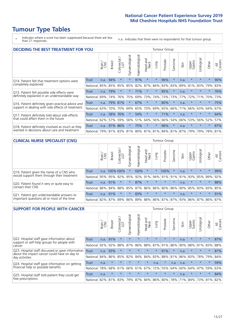# **Tumour Type Tables**

\* Indicates where a score has been suppressed because there are less than 21 responses.

n.a. Indicates that there were no respondents for that tumour group.

| DECIDING THE BEST TREATMENT FOR YOU                |              |       |               |            |                |                |                         |         | <b>Tumour Group</b> |                                     |      |                 |            |         |                |
|----------------------------------------------------|--------------|-------|---------------|------------|----------------|----------------|-------------------------|---------|---------------------|-------------------------------------|------|-----------------|------------|---------|----------------|
|                                                    |              | Brain | <b>Breast</b> | Colorectal | Gynaecological | Haematological | aad and<br>Neck<br>Head | Lung    | Prostate            | arcoma<br>ιñ                        | Skin | Upper<br>Gastro | Jrological | Other   | All<br>Cancers |
| Q14. Patient felt that treatment options were      | <b>Trust</b> | n.a.  | 94%           | $\star$    | $\star$        | 91%            | $\star$                 | $\star$ | 96%                 | $\star$                             | n.a. | $\star$         | $\star$    | $\star$ | 90%            |
| completely explained                               | National     | 85%   | 85%           | 85%        | 85%            | 82%            | 87%                     | 84%     | 83%                 | 83%                                 | 89%  | 81%             | 83%        | 79%     | 83%            |
| Q15. Patient felt possible side effects were       | Trust        | n.a.  | 79%           | $\star$    | $^\star$       | 71%            | $\star$                 | $\star$ | 85%                 | $\star$                             | n.a. | $\star$         | $\star$    | $\star$ | 76%            |
| definitely explained in an understandable way      | National     | 69%   | 74%           | 76%        | 75%            | 69%            | 73%                     | 74%     | 73%                 | 73%                                 | 77%  | 72%             | 71%        | 70%     | 73%            |
| Q16. Patient definitely given practical advice and | Trust        | n.a.  | 79%           | 81%        | $\star$        | 67%            | $\star$                 | $\star$ | 80%                 | $\star$                             | n.a. | $\star$         | $\star$    | $\star$ | 75%            |
| support in dealing with side effects of treatment  | National     | 63%   | 70%           | 70%        | 69%            | 65%            | 70%                     | 69%     | 65%                 | 66%                                 | 71%  | 66%             | 63%        | 64%     | 67%            |
| Q17. Patient definitely told about side effects    | Trust        | n.a.  | 58%           | 76%        | $\star$        | 54%            | $\star$                 | $\star$ | 71%                 | $\star$                             | n.a. | $\star$         | $\star$    | $\star$ | 64%            |
| that could affect them in the future               | National     | 62%   | 57%           | 59%        | 56%            | 51%            | 64%                     | 56%     | 66%                 | 54%                                 | 66%  | 53%             | 56%        | 52%     | 57%            |
| Q18. Patient definitely involved as much as they   | Trust        | n.a.  | 97%           | 86%        | $\star$        | 75%            | $\star$                 | $\star$ | 96%                 | $\star$                             | n.a. | $\star$         | $\star$    | $\star$ | 87%            |
| wanted in decisions about care and treatment       | National     | 79%   |               |            |                |                |                         |         |                     | 81% 83% 81% 80% 81% 81% 84% 81% 87% |      | 79%             | 79%        | 78% 81% |                |

#### **CLINICAL NURSE SPECIALIST (CNS)** Tumour Group

|                                             |              | Brain           | <b>Breast</b>   | Colorectal<br>LGT | Gynaecologica | శా<br>aematologi | Head and<br>Neck | Lung    | Prostate | Sarcoma | Skin | Upper<br>Gastro                 | $\sigma$<br>rologica | Other   | All<br>Cancers |
|---------------------------------------------|--------------|-----------------|-----------------|-------------------|---------------|------------------|------------------|---------|----------|---------|------|---------------------------------|----------------------|---------|----------------|
| Q19. Patient given the name of a CNS who    | <b>Trust</b> |                 | n.a. 100%100%   |                   |               | 100%             | $\star$          |         | 100%     |         | n.a. | $\star$                         | $\star$              | $\star$ | 99%            |
| would support them through their treatment  | National     | 95%             | 95%             | 92%               | 95%           | 92%              | 91%              |         | 94% 91%  | 91%     | 91%  | 93%                             | 85%                  | 89%     | 92%            |
| Q20. Patient found it very or quite easy to | Trust        | n.a.            | 91%             |                   | $\star$       | 87%              | $\star$          | $\star$ | $\star$  | $\star$ | n.a. | $\star$                         | $\star$              | $\star$ | 88%            |
| contact their CNS                           | National     |                 | 86% 84% 88% 85% |                   |               | 87%              | 86%              | 86% 80% |          | 86%     |      | 90% 85%                         | 83%                  | 83%     | 85%            |
| Q21. Patient got understandable answers to  | Trust        | n.a.            | 91%             |                   | $\star$       | 83%              | $\star$          | $\star$ | $\star$  | $\star$ | n.a. | $\star$                         | $\star$              | $\ast$  | 91%            |
| important questions all or most of the time | National     | 82% 87% 89% 86% |                 |                   |               |                  |                  |         |          |         |      | 89% 88% 86% 87% 87% 93% 86% 87% |                      | 86%     | 87%            |

| <b>SUPPORT FOR PEOPLE WITH CANCER</b>                                                             |              |       |               |                 |                |                |                         |         | Tumour Group |              |      |                 |            |         |                |
|---------------------------------------------------------------------------------------------------|--------------|-------|---------------|-----------------|----------------|----------------|-------------------------|---------|--------------|--------------|------|-----------------|------------|---------|----------------|
|                                                                                                   |              | Brain | <b>Breast</b> | ╮<br>Colorectal | Gynaecological | Haematological | ead and<br>Neck<br>Head | Lung    | Prostate     | arcoma<br>ιñ | Skin | Upper<br>Gastro | Urological | Other   | All<br>Cancers |
| Q22. Hospital staff gave information about<br>support or self-help groups for people with         | <b>Trust</b> | n.a.  | 91%           | $\star$         | $\star$        | $\star$        | $\star$                 | $\star$ | $\star$      | $\star$      | n.a. | $\star$         | $\star$    | $\star$ | 87%            |
| cancer                                                                                            | National     | 92%   | 92%           | 88%             | 87%            | 86%            | 88%                     | 87%     | 91%          | 86%          | 90%  | 88%             | 81%        | 83%     | 88%            |
| Q23. Hospital staff discussed or gave information<br>about the impact cancer could have on day to | Trust        | n.a.  | 93%           | $\star$         | $\star$        | $\star$        | $\star$                 | $\star$ | 91%          | $\star$      | n.a. | $\star$         | $\star$    | $\star$ | 87%            |
| day activities                                                                                    | National     | 84%   | 86%           | 85%             | 82%            | 84%            | 84%                     | 83%     | 88%          | 81%          | 86%  | 83%             | 78%        | 79%     | 84%            |
| Q24. Hospital staff gave information on getting                                                   | Trust        | n.a.  | $\star$       | $\star$         | $\star$        | $\star$        | $\star$                 | n.a.    | $\star$      | n.a.         | n.a. | $\star$         | $\star$    | $\star$ | 59%            |
| financial help or possible benefits                                                               | National     | 78%   | 68%           | 61%             | 66%            | 61%            | 67%                     | 72%     | 55%          | 64%          | 60%  | 64%             | 47%        | 59%     | 63%            |
| Q25. Hospital staff told patient they could get                                                   | Trust        | n.a.  | $\star$       | $\star$         | $\star$        | $\star$        | $\star$                 | $\star$ | $\star$      | $\star$      | n.a. | $\star$         | $\star$    | $\star$ | 84%            |
| free prescriptions                                                                                | National     | 82%   | 81%           | 83%             | 79%            | 87%            | 84%                     | 86%     | 80%          | 78%          | 71%  | 84%             | 73%        | 81%     | 82%            |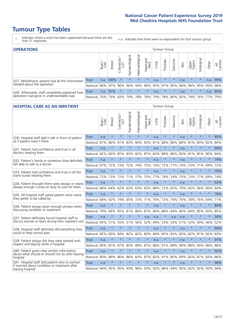# **Tumour Type Tables**

\* Indicates where a score has been suppressed because there are less than 21 responses.

n.a. Indicates that there were no respondents for that tumour group.

| <b>OPERATIONS</b>                                |              |              |               |                 |                |                |                     |      | Tumour Group        |         |      |                 |            |           |                |
|--------------------------------------------------|--------------|--------------|---------------|-----------------|----------------|----------------|---------------------|------|---------------------|---------|------|-----------------|------------|-----------|----------------|
|                                                  |              | Brain<br>CNS | <b>Breast</b> | ╮<br>Colorectal | Gynaecological | Haematological | Head and<br>Neck    | Dung | Prostate            | Sarcoma | Skin | Upper<br>Gastro | Jrological | Other     | All<br>Cancers |
| Q27. Beforehand, patient had all the information | <b>Trust</b> |              | n.a. 100%     | $\star$         | $\star$        | $\star$        | $\star$             | n.a. | $\star$             | $\star$ | n.a. | $\star$         | $\star$    | n.a.      | 99%            |
| needed about the operation                       | National     | 96%          | 97%           | 96%             | 96%            | 94%            | 96% 95% 97% 95% 96% |      |                     |         |      | 96%             | 95% 95%    |           | 96%            |
| Q28. Afterwards, staff completely explained how  | Trust        | n.a.         | 91%           | $\star$         | $\star$        | $\star$        | $\star$             | n.a. | $\star$             | $\star$ | n.a. | $\star$         | $\star$    | n.a.      | 85%            |
| operation had gone in understandable way         | National     | 76%          |               | 79% 83%         |                |                | 79%   78%   79%     |      | 79% 78% 80% 82% 79% |         |      |                 |            | 76%   77% | 79%            |

#### **HOSPITAL CARE AS AN INPATIENT** Tumour Group

|                                                                                                  |              | Brain | Breast  | Colorectal /<br>LGT | Gynaecological | Haematological | Head and<br>Neck | Lung | Prostate | Sarcoma | Skin | Upper<br>Gastro | Urological | Other   | Cancers<br>$\overline{\overline{z}}$ |
|--------------------------------------------------------------------------------------------------|--------------|-------|---------|---------------------|----------------|----------------|------------------|------|----------|---------|------|-----------------|------------|---------|--------------------------------------|
| Q30. Hospital staff didn't talk in front of patient                                              | <b>Trust</b> | n.a.  | $\star$ | $\star$             | $\star$        | $\star$        | $\star$          | n.a. | $\star$  | $\star$ | n.a. | $\star$         | $\star$    | $\star$ | 85%                                  |
| as if patient wasn't there                                                                       | National     | 81%   | 86%     | 81%                 | 83%            | 84%            | 83%              | 81%  | 88%      | 86%     | 86%  | 81%             | 83%        | 82%     | 84%                                  |
| 031. Patient had confidence and trust in all                                                     | <b>Trust</b> | n.a.  | $\star$ | $\star$             | $\star$        | $\star$        | $\star$          | n.a. | $\star$  | $\star$ | n.a. |                 | $\star$    | $\star$ | 84%                                  |
| doctors treating them                                                                            | National     | 82%   | 83%     | 85%                 | 83%            | 82%            | 87%              | 83%  | 89%      | 86%     | 85%  | 81%             | 85%        | 80%     | 84%                                  |
| Q32. Patient's family or someone close definitely                                                | <b>Trust</b> | n.a.  | $\star$ | $\star$             | $\star$        | $\star$        | $\star$          | n.a. | $\star$  | $\star$ | n.a. | $\star$         | $\star$    | $\star$ | 74%                                  |
| felt able to talk to a doctor                                                                    | National     | 67%   | 72%     | 73%                 | 72%            | 74%            | 75%              | 74%  | 72%      | 71%     | 74%  | 73%             | 71%        | 69%     | 72%                                  |
| Q33. Patient had confidence and trust in all the                                                 | <b>Trust</b> | n.a.  | $\star$ | $\star$             | $\star$        | $\star$        | $\star$          | n.a. | $\star$  | $\star$ | n.a. | $\star$         | $\star$    | $\star$ | 70%                                  |
| ward nurses treating them                                                                        | National     | 72%   | 73%     | 72%                 | 71%            | 77%            | 75%              | 77%  | 79%      | 74%     | 75%  | 73%             | 77%        | 69%     | 74%                                  |
| Q34. Patient thought there were always or nearly                                                 | <b>Trust</b> | n.a.  | $\star$ | $\star$             | $\star$        | $\star$        | $\star$          | n.a. | $\star$  | $\star$ | n.a. | $\star$         | $\star$    | $\star$ | 63%                                  |
| always enough nurses on duty to care for them                                                    | National     | 68%   | 64%     | 62%                 | 63%            | 63%            | 65%              | 68%  | 72%      | 65%     | 70%  | 65%             | 66%        | 60%     | 64%                                  |
| Q35. All hospital staff asked patient what name                                                  | Trust        | n.a.  | $\star$ | $\star$             | $\star$        | $\star$        | $\star$          | n.a. | $\star$  | $\star$ | n.a. |                 | $\star$    | $\star$ | 76%                                  |
| they prefer to be called by                                                                      | National     | 68%   | 62%     | 74%                 | 65%            | 72%            | 71%              | 76%  | 72%      | 74%     | 70%  | 78%             | 76%        | 69%     | 71%                                  |
| Q36. Patient always given enough privacy when                                                    | <b>Trust</b> | n.a.  | $\star$ | $\star$             | $\star$        | $\star$        | $\star$          | n.a. | $\star$  | $\star$ | n.a. | $\star$         | $\star$    | $\star$ | 84%                                  |
| discussing condition or treatment                                                                | National     | 78%   | 84%     | 85%                 | 81%            | 86%            | 87%              | 84%  | 88%      | 84%     | 84%  | 84%             | 85%        | 82%     | 85%                                  |
| Q37. Patient definitely found hospital staff to                                                  | <b>Trust</b> | n.a.  | $\star$ | $\star$             | $\star$        | $\star$        | n.a.             | n.a. | $\star$  | n.a.    | n.a. | $\star$         | $\star$    | $\star$ | 50%                                  |
| discuss worries or fears during their inpatient visit                                            | National     | 45%   | 51%     | 55%                 | 51%            | 56%            | 52%              | 49%  | 53%      | 54%     | 51%  | 53%             | 49%        | 46%     | 52%                                  |
| Q38. Hospital staff definitely did everything they                                               | Trust        | n.a.  | $\star$ | $\star$             | $\star$        | $\star$        | $\star$          | n.a. | $\star$  | $\star$ | n.a. | $\star$         | $\star$    | $\star$ | 84%                                  |
| could to help control pain                                                                       | National     | 85%   | 83%     | 84%                 | 82%            | 82%            | 80%              | 84%  | 85%      | 83%     | 85%  | 82%             | 81%        | 82%     | 83%                                  |
| Q39. Patient always felt they were treated with                                                  | <b>Trust</b> | n.a.  | $\star$ | $\star$             | $\star$        | $\star$        | $\star$          | n.a. | $\star$  | $\star$ | n.a. |                 |            | $\star$ | 91%                                  |
| respect and dignity while in hospital                                                            | National     | 85%   | 87%     | 87%                 | 85%            | 89%            | 87%              | 88%  | 91%      | 89%     | 89%  | 88%             | 90%        | 86%     | 88%                                  |
| Q40. Patient given clear written information<br>about what should or should not do after leaving | <b>Trust</b> | n.a.  | $\star$ | $\star$             | $\star$        | $\star$        | $\star$          | n.a. | $\star$  | $\star$ | n.a. | $\star$         | $\star$    | $\star$ | 92%                                  |
| hospital                                                                                         | National     | 80%   | 89%     | 86%                 | 86%            | 83% 87%        |                  | 82%  | 91%      | 85%     | 90%  |                 | 82% 87%    | 83%     | 86%                                  |
| Q41. Hospital staff told patient who to contact<br>if worried about condition or treatment after | Trust        | n.a.  | $\star$ | $\star$             | $\star$        | $\star$        | $\star$          | n.a. | $\star$  | $\star$ | n.a. | $\star$         | $\star$    | $\star$ | 96%                                  |
| leaving hospital                                                                                 | National     | 94%   | 95%     | 95%                 | 93%            |                | 96% 93%          | 92%  | 96%      | 94%     | 95%  | 92%             | 92%        | 93%     | 94%                                  |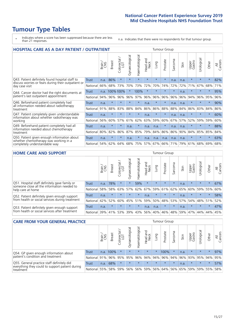# **Tumour Type Tables**

- \* Indicates where a score has been suppressed because there are less than 21 responses.
- n.a. Indicates that there were no respondents for that tumour group.

| <b>HOSPITAL CARE AS A DAY PATIENT / OUTPATIENT</b>                                  |              |       |               |                     |                |                |                         |         | <b>Tumour Group</b> |                          |      |                 |            |         |                |
|-------------------------------------------------------------------------------------|--------------|-------|---------------|---------------------|----------------|----------------|-------------------------|---------|---------------------|--------------------------|------|-----------------|------------|---------|----------------|
|                                                                                     |              | Brain | <b>Breast</b> | Colorectal /<br>LGT | Gynaecological | Haematological | ead and<br>Neck<br>Head | Lung    | Prostate            | arcoma<br>$\overline{C}$ | Skin | Upper<br>Gastro | Urological | Other   | All<br>Cancers |
| Q43. Patient definitely found hospital staff to                                     | <b>Trust</b> | n.a.  | 86%           | $\star$             | $\star$        | $\star$        | $\star$                 | $\star$ | $\star$             | n.a.                     | n.a. | $\star$         | $\star$    | $\star$ | 82%            |
| discuss worries or fears during their outpatient or<br>day case visit               | National     | 66%   | 68%           | 73%                 | 70%            | 73%            | 72%                     | 70%     | 74%                 | 72%                      | 72%  | 71%             | 67%        | 68%     | 71%            |
| Q44. Cancer doctor had the right documents at                                       | Trust        | n.a.  | 100%100%      |                     |                | 100%           | $\star$                 | $\star$ | $\star$             | $\star$                  | n.a. | $\star$         | $\star$    | $\star$ | 95%            |
| patient's last outpatient appointment                                               | National     | 94%   | 96%           | 96%                 | 96%            | 97%            | 96%                     | 96%     | 96%                 | 96%                      | 96%  | 94%             | 96%        | 95%     | 96%            |
| Q46. Beforehand patient completely had<br>all information needed about radiotherapy | Trust        | n.a.  | $\star$       | $\star$             |                | $\star$        | n.a.                    | $\star$ | $\star$             | n.a.                     | n.a. | $\star$         | $\star$    | $\star$ | 90%            |
| treatment                                                                           | National     | 91%   | 88%           | 83%                 | 88%            | 84%            | 86%                     | 86%     | 88%                 | 88%                      | 84%  | 86%             | 83%        | 84%     | 86%            |
| Q47. Patient completely given understandable                                        | Trust        | n.a.  | $\star$       | $\star$             | $\star$        | $\star$        | n.a.                    | $\star$ | $\star$             | n.a.                     | n.a. | $\star$         | $\star$    | $\star$ | 60%            |
| information about whether radiotherapy was<br>working                               | National     | 56%   | 60%           | 57%                 | 61%            | 62%            | 63%                     | 59%     | 60%                 | 67%                      | 57%  | 52%             | 59%        | 59%     | 60%            |
| Q49. Beforehand patient completely had all<br>information needed about chemotherapy | <b>Trust</b> | n.a.  | $\ast$        | $\star$             | n.a.           | $\star$        | n.a.                    | n.a.    | $\star$             | n.a.                     | n.a. | $\star$         | $\star$    | $\star$ | 88%            |
| treatment                                                                           | National     | 80%   | 82%           | 86%                 | 87%            | 85%            | 79%                     | 84%     | 86%                 | 86%                      | 90%  | 84%             | 85%        | 85%     | 84%            |
| Q50. Patient given enough information about                                         | Trust        | n.a.  | $\star$       | $\star$             | n.a.           | $\star$        | n.a.                    | n.a.    | n.a.                | n.a.                     | n.a. | $\star$         |            | $\star$ | 63%            |
| whether chemotherapy was working in a<br>completely understandable way              | National     | 54%   | 62%           | 64%                 | 68%            | 75%            |                         | 57% 67% | 66%                 | 71%                      | 79%  | 61%             | 68%        | 69%     | 68%            |

#### **HOME CARE AND SUPPORT** Tumour Group

|                                                                                                                   |          | Brain | <b>Breast</b> | olorectal<br>LGT<br>Ü | ᠊ᢛ<br>Gynaecologic | Haematological | ad and<br>Neck<br>Head | <b>Dung</b> | Prostate | Sarcoma | Skin | Upper<br>Gastro | rological | Other   | All<br>Cancers |
|-------------------------------------------------------------------------------------------------------------------|----------|-------|---------------|-----------------------|--------------------|----------------|------------------------|-------------|----------|---------|------|-----------------|-----------|---------|----------------|
| Q51. Hospital staff definitely gave family or<br>someone close all the information needed to<br>help care at home | Trust    | n.a.  | 78%           |                       | $\star$            | 59%            | $\star$                | $\star$     | $\star$  | $\star$ | n.a. | $\star$         | $\star$   | $\star$ | 67%            |
|                                                                                                                   | National | 58%   | 58%           | 63%                   | 57%                | 62%            | 67%                    |             | 59% 61%  | 62% 65% |      | 60%             | 59% 55%   |         | 60%            |
| Q52. Patient definitely given enough support<br>from health or social services during treatment                   | Trust    | n.a.  | $\star$       | $\star$               | $\star$            | $\star$        | n.a.                   | $\star$     | $\star$  | $\star$ | n.a. | $\star$         | $\star$   | $\star$ | 58%            |
|                                                                                                                   | National | 42%   | 52%           | 60%                   | 45%                | 51%            | 59%                    | 50%         | 48%      | 53%     | 57%  | 54%             | 48% 51%   |         | 52%            |
| Q53. Patient definitely given enough support<br>from health or social services after treatment                    | Trust    | n.a.  | $\star$       | $\star$               | $\star$            | $\star$        | n.a.                   | n.a.        | $\star$  | $\star$ | n.a. | $\star$         | $\star$   | $\star$ | 47%            |
|                                                                                                                   | National | 39%   | 41%           | 53%                   | 39%                | 43%            | 56%                    | 40%         | 46%      | 48%     | 59%  | 47%             | 44%       | 44%     | 45%            |

| <b>CARE FROM YOUR GENERAL PRACTICE</b>                                                                     |              |       |               |                   |                |                | Tumour Group     |         |                         |         |      |                             |           |         |                |
|------------------------------------------------------------------------------------------------------------|--------------|-------|---------------|-------------------|----------------|----------------|------------------|---------|-------------------------|---------|------|-----------------------------|-----------|---------|----------------|
|                                                                                                            |              | Brain | <b>Breast</b> | Colorectal<br>LGT | Gynaecological | Haematological | Head and<br>Neck | Lung    | Prostate                | Sarcoma | Skin | Upper<br>Gastro             | Urologica | Other   | All<br>Cancers |
| Q54. GP given enough information about<br>patient's condition and treatment                                | Trust        | n.a.  | 100%          | $\star$           | $\star$        | $\star$        | $\star$          | $\star$ | 100%                    |         | n.a. | $\star$                     | $\star$   | $\star$ | 97%            |
|                                                                                                            | National 91% |       |               | 96% 95%           | 95%            |                |                  |         | 96% 94% 94% 96% 94% 96% |         |      | 93% 95% 94%                 |           |         | 95%            |
| Q55. General practice staff definitely did<br>everything they could to support patient during<br>treatment | <b>Trust</b> | n.a.  | 68%           | $\star$           | $\star$        | $\star$        | $\star$          | $\star$ | $\star$                 | $\star$ | n.a. | $\star$                     | $\star$   | $\star$ | 57%            |
|                                                                                                            | National 55% |       | 58%           | 59%               | 56%            |                | 56% 59%          |         |                         |         |      | 56% 64% 56% 65% 59% 59% 55% |           |         | 58%            |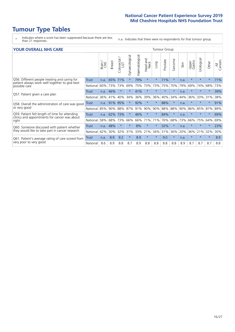# **Tumour Type Tables**

\* Indicates where a score has been suppressed because there are less than 21 responses.

n.a. Indicates that there were no respondents for that tumour group.

| <b>YOUR OVERALL NHS CARE</b>                                                                                     |              |       |               |                             |                |                |                                | <b>Tumour Group</b> |          |         |      |                 |            |         |                |  |  |
|------------------------------------------------------------------------------------------------------------------|--------------|-------|---------------|-----------------------------|----------------|----------------|--------------------------------|---------------------|----------|---------|------|-----------------|------------|---------|----------------|--|--|
|                                                                                                                  |              | Brain | <b>Breast</b> | ╮<br>olorectal.<br>LGT<br>Ũ | Gynaecological | Haematological | <b>Bad and</b><br>Neck<br>Head | Lung                | Prostate | Sarcoma | Skin | Upper<br>Gastro | Urological | Other   | All<br>Cancers |  |  |
| Q56. Different people treating and caring for<br>patient always work well together to give best<br>possible care | <b>Trust</b> | n.a.  | 65%           | 71%                         | $\star$        | 79%            | $\star$                        | $\star$             | 71%      | $\star$ | n.a. | $\star$         | $\star$    | $\star$ | 71%            |  |  |
|                                                                                                                  | National     | 60%   | 73%           | 73%                         | 69%            | 75%            | 73%                            | 73%                 | 75%      | 70%     | 79%  | 69%             | 74%        | 68%     | 73%            |  |  |
| Q57. Patient given a care plan                                                                                   | Trust        | n.a.  | 46%           | $\star$                     | $\star$        | 41%            | $\star$                        | $\star$             | $\star$  | $\star$ | n.a. | $\star$         | $\star$    | $\star$ | 39%            |  |  |
|                                                                                                                  | National     | 36%   | 41%           | 40%                         | 34%            | 36%            | 39%                            | 36%                 | 40%      | 34%     | 44%  | 36%             | 33%        | 31%     | 38%            |  |  |
| Q58. Overall the administration of care was good<br>or very good                                                 | Trust        | n.a.  | 91%           | 95%                         | $\star$        | 92%            | $\ast$                         | $\star$             | 88%      | $\star$ | n.a. | $\star$         |            | $\star$ | 91%            |  |  |
|                                                                                                                  | National     | 85%   | 90%           | 88%                         | 87%            | 91%            | 90%                            | 90%                 | 88%      | 88%     | 90%  | 86%             | 85%        | 87%     | 89%            |  |  |
| Q59. Patient felt length of time for attending<br>clinics and appointments for cancer was about<br>right         | <b>Trust</b> | n.a.  | 62%           | 73%                         |                | 46%            | $\star$                        | $\star$             | 84%      | $\star$ | n.a. | $\star$         | $\star$    | $\ast$  | 69%            |  |  |
|                                                                                                                  | National     | 58%   | 68%           | 73%                         | 66%            | 66%            | 71%                            | 71%                 | 76%      | 68%     | 73%  | 66%             | 75%        | 64%     | 69%            |  |  |
| Q60. Someone discussed with patient whether<br>they would like to take part in cancer research                   | Trust        | n.a.  | 48%           | $\star$                     | $\star$        | 8%             | $\star$                        | $\star$             | 32%      | $\star$ | n.a. | $\star$         | $\star$    | $\star$ | 23%            |  |  |
|                                                                                                                  | National     | 42%   | 30%           | 32%                         | 31%            | 33%            | 21%                            | 34%                 | 31%      | 36%     | 20%  | 36%             | 21%        | 32%     | 30%            |  |  |
| Q61. Patient's average rating of care scored from<br>very poor to very good                                      | Trust        | n.a.  | 8.9           | 9.2                         | $\star$        | 8.9            | $\star$                        | $\star$             | 9.0      | $\star$ | n.a. | $\star$         | $\star$    | $\star$ | 8.9            |  |  |
|                                                                                                                  | National     | 8.6   | 8.9           | 8.8                         | 8.7            | 8.9            | 8.8                            | 8.8                 | 8.8      | 8.8     | 8.9  | 8.7             | 8.7        | 8.7     | 8.8            |  |  |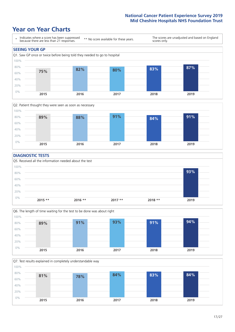### **Year on Year Charts**





#### **DIAGNOSTIC TESTS**





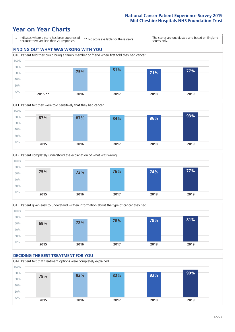







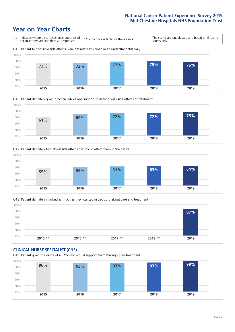





Q18. Patient definitely involved as much as they wanted in decisions about care and treatment  $0%$ 20% 40% 60% 80% 100% **2015 \*\* 2016 \*\* 2017 \*\* 2018 \*\* 2019 87%**

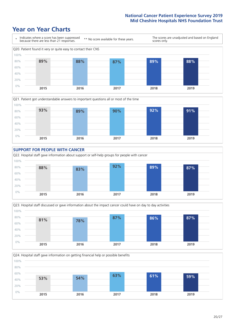









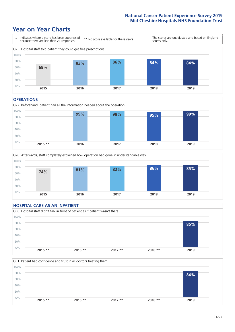### **Year on Year Charts**



#### **OPERATIONS**





#### **HOSPITAL CARE AS AN INPATIENT** Q30. Hospital staff didn't talk in front of patient as if patient wasn't there 0% 20% 40% 60% 80% 100% **2015 \*\* 2016 \*\* 2017 \*\* 2018 \*\* 2019 85%**

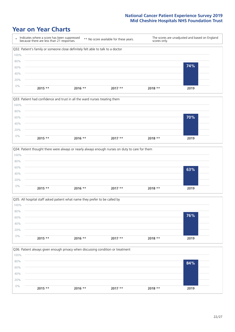







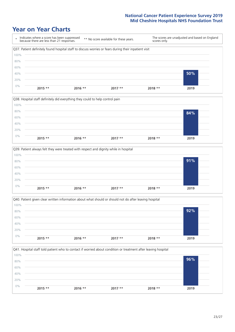







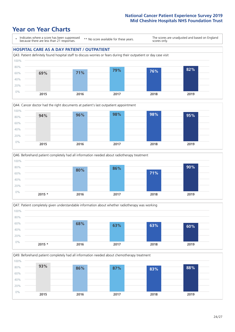







Q49. Beforehand patient completely had all information needed about chemotherapy treatment 0% 20% 40% 60% 80% 100% **2015 2016 2017 2018 2019 93% 86% 87% 83% 88%**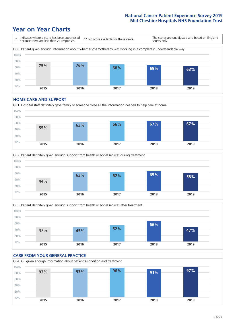### **Year on Year Charts**



#### **HOME CARE AND SUPPORT**







#### **CARE FROM YOUR GENERAL PRACTICE** Q54. GP given enough information about patient's condition and treatment 0% 20% 40% 60% 80% 100% **2015 2016 2017 2018 2019 93% 93% 96% 91% 97%**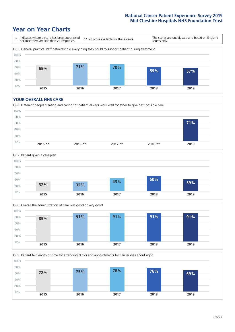### **Year on Year Charts**



#### **YOUR OVERALL NHS CARE**







Q59. Patient felt length of time for attending clinics and appointments for cancer was about right 0% 20% 40% 60% 80% 100% **2015 2016 2017 2018 2019 72% 75% 78% 76% 69%**